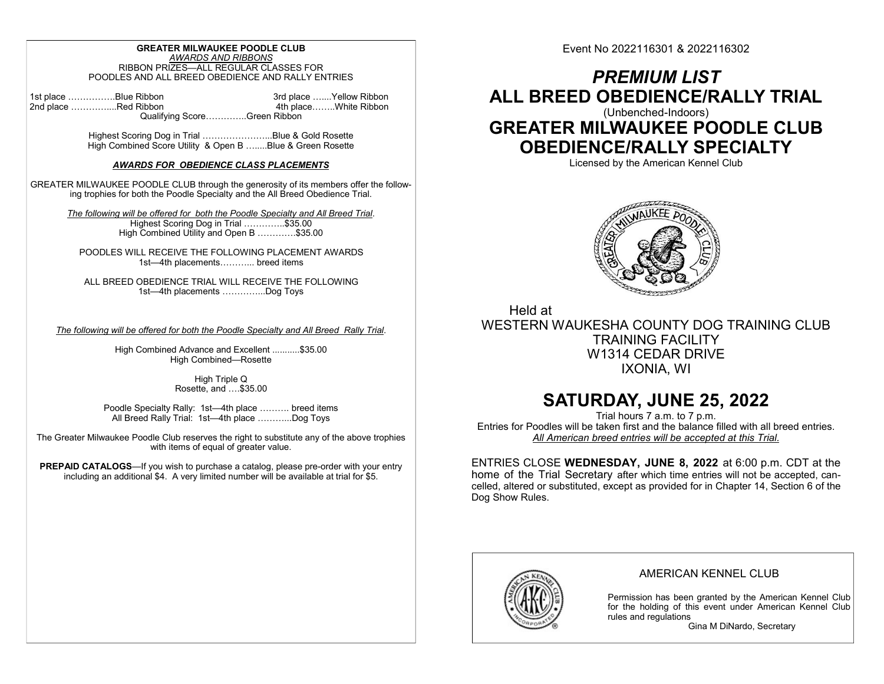### GREATER MILWAUKEE POODLE CLUB AWARDS AND RIBBONS RIBBON PRIZES—ALL REGULAR CLASSES FOR POODLES AND ALL BREED OBEDIENCE AND RALLY ENTRIES

1st place …………….Blue Ribbon 3rd place …….Yellow Ribbon 3rd place ……..<br>2nd place ………………Red Ribbon 3rd place …….White Ribbon 2nd place …………….Red Ribbon Qualifying Score…………..Green Ribbon

> Highest Scoring Dog in Trial …………………...Blue & Gold Rosette High Combined Score Utility & Open B ….....Blue & Green Rosette

### AWARDS FOR OBEDIENCE CLASS PLACEMENTS

GREATER MILWAUKEE POODLE CLUB through the generosity of its members offer the following trophies for both the Poodle Specialty and the All Breed Obedience Trial.

The following will be offered for both the Poodle Specialty and All Breed Trial. Highest Scoring Dog in Trial …………..\$35.00 High Combined Utility and Open B ………….\$35.00

POODLES WILL RECEIVE THE FOLLOWING PLACEMENT AWARDS 1st—4th placements………... breed items

ALL BREED OBEDIENCE TRIAL WILL RECEIVE THE FOLLOWING 1st—4th placements …………...Dog Toys

The following will be offered for both the Poodle Specialty and All Breed Rally Trial.

High Combined Advance and Excellent ...........\$35.00 High Combined—Rosette

> High Triple Q Rosette, and ….\$35.00

Poodle Specialty Rally: 1st—4th place ………. breed items All Breed Rally Trial: 1st—4th place ………...Dog Toys

The Greater Milwaukee Poodle Club reserves the right to substitute any of the above trophies with items of equal of greater value.

PREPAID CATALOGS—If you wish to purchase a catalog, please pre-order with your entry including an additional \$4. A very limited number will be available at trial for \$5.

Event No 2022116301 & 2022116302

# PREMIUM LIST ALL BREED OBEDIENCE/RALLY TRIAL (Unbenched-Indoors) GREATER MILWAUKEE POODLE CLUB

OBEDIENCE/RALLY SPECIALTY

Licensed by the American Kennel Club



Held at WESTERN WAUKESHA COUNTY DOG TRAINING CLUB TRAINING FACILITY W1314 CEDAR DRIVE IXONIA, WI

# SATURDAY, JUNE 25, 2022

Trial hours 7 a.m. to 7 p.m. Entries for Poodles will be taken first and the balance filled with all breed entries. All American breed entries will be accepted at this Trial.

ENTRIES CLOSE WEDNESDAY, JUNE 8, 2022 at 6:00 p.m. CDT at the home of the Trial Secretary after which time entries will not be accepted, cancelled, altered or substituted, except as provided for in Chapter 14, Section 6 of the Dog Show Rules.



# AMERICAN KENNEL CLUB

Permission has been granted by the American Kennel Club for the holding of this event under American Kennel Club rules and regulations

Gina M DiNardo, Secretary